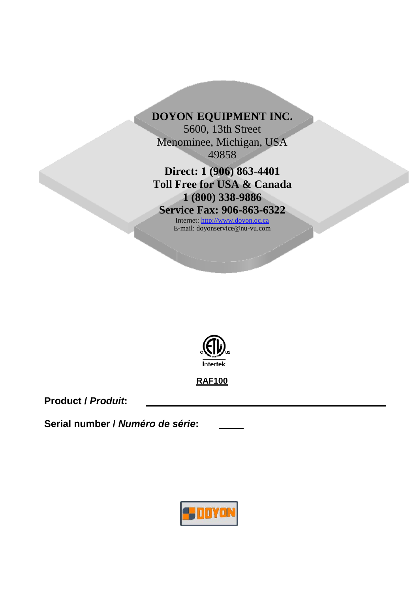

**Direct: 1 (906) 863-4401 Toll Free for USA & Canada 1 (800) 338-9886**

**Service Fax: 906-863-6322**

Internet: [http://www.doyon.qc.ca](http://www.doyon.qc.ca/) E-mail: doyonservice@nu-vu.com



**RAF100** 

**Product /** *Produit***:**

**Serial number /** *Numéro de série***:**

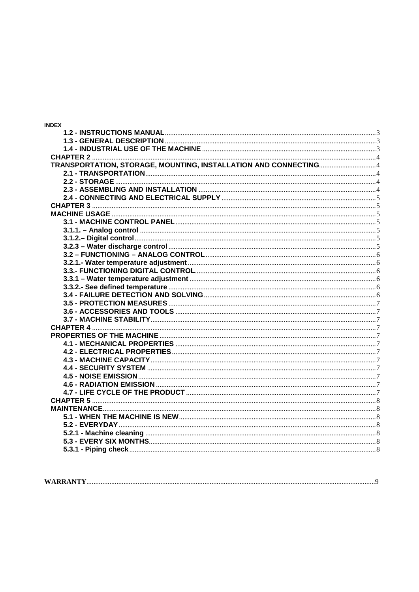| <b>INDEX</b>                                                                                     |  |
|--------------------------------------------------------------------------------------------------|--|
|                                                                                                  |  |
|                                                                                                  |  |
|                                                                                                  |  |
|                                                                                                  |  |
|                                                                                                  |  |
|                                                                                                  |  |
|                                                                                                  |  |
|                                                                                                  |  |
|                                                                                                  |  |
|                                                                                                  |  |
|                                                                                                  |  |
|                                                                                                  |  |
|                                                                                                  |  |
|                                                                                                  |  |
|                                                                                                  |  |
|                                                                                                  |  |
|                                                                                                  |  |
| 3.3.- FUNCTIONING DIGITAL CONTROL <b>CONTROL 2.000 CONTROL</b> 2.3.- FUNCTIONING DIGITAL CONTROL |  |
|                                                                                                  |  |
|                                                                                                  |  |
|                                                                                                  |  |
|                                                                                                  |  |
|                                                                                                  |  |
|                                                                                                  |  |
|                                                                                                  |  |
|                                                                                                  |  |
|                                                                                                  |  |
|                                                                                                  |  |
|                                                                                                  |  |
|                                                                                                  |  |
|                                                                                                  |  |
|                                                                                                  |  |
|                                                                                                  |  |
|                                                                                                  |  |
|                                                                                                  |  |
|                                                                                                  |  |
|                                                                                                  |  |
|                                                                                                  |  |
|                                                                                                  |  |
|                                                                                                  |  |

| <b>WARRANTY</b> |
|-----------------|
|-----------------|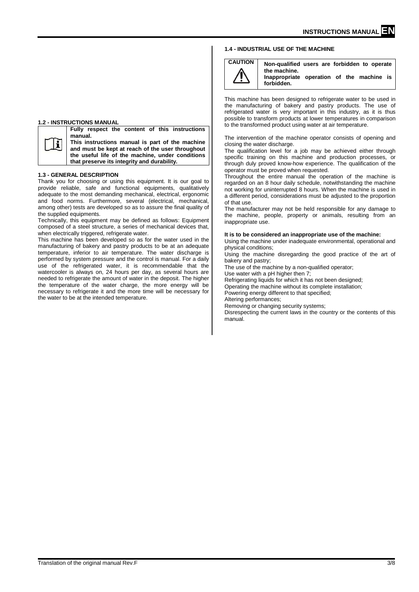## <span id="page-2-2"></span>**1.4 - INDUSTRIAL USE OF THE MACHINE**



**CAUTION Non-qualified users are forbidden to operate the machine. Inappropriate operation of the machine is forbidden.** 

This machine has been designed to refrigerate water to be used in the manufacturing of bakery and pastry products. The use of refrigerated water is very important in this industry, as it is thus possible to transform products at lower temperatures in comparison to the transformed product using water at air temperature.

The intervention of the machine operator consists of opening and closing the water discharge.

The qualification level for a job may be achieved either through specific training on this machine and production processes, or through duly proved know-how experience. The qualification of the operator must be proved when requested.

Throughout the entire manual the operation of the machine is regarded on an 8 hour daily schedule, notwithstanding the machine not working for uninterrupted 8 hours. When the machine is used in a different period, considerations must be adjusted to the proportion of that use.

The manufacturer may not be held responsible for any damage to the machine, people, property or animals, resulting from an inappropriate use.

#### **It is to be considered an inappropriate use of the machine:**

Using the machine under inadequate environmental, operational and physical conditions;

Using the machine disregarding the good practice of the art of bakery and pastry;

The use of the machine by a non-qualified operator;

Use water with a pH higher then 7;

Refrigerating liquids for which it has not been designed;

Operating the machine without its complete installation;

Powering energy different to that specified; Altering performances;

Removing or changing security systems;

Disrespecting the current laws in the country or the contents of this manual.

#### <span id="page-2-0"></span>**1.2 - INSTRUCTIONS MANUAL**



**manual. This instructions manual is part of the machine and must be kept at reach of the user throughout the useful life of the machine, under conditions that preserve its integrity and durability.**

**Fully respect the content of this instructions** 

#### <span id="page-2-1"></span>**1.3 - GENERAL DESCRIPTION**

Thank you for choosing or using this equipment. It is our goal to provide reliable, safe and functional equipments, qualitatively adequate to the most demanding mechanical, electrical, ergonomic and food norms. Furthermore, several (electrical, mechanical, among other) tests are developed so as to assure the final quality of the supplied equipments.

Technically, this equipment may be defined as follows: Equipment composed of a steel structure, a series of mechanical devices that, when electrically triggered, refrigerate water.

This machine has been developed so as for the water used in the manufacturing of bakery and pastry products to be at an adequate temperature, inferior to air temperature. The water discharge is performed by system pressure and the control is manual. For a daily use of the refrigerated water, it is recommendable that the watercooler is always on, 24 hours per day, as several hours are needed to refrigerate the amount of water in the deposit. The higher the temperature of the water charge, the more energy will be necessary to refrigerate it and the more time will be necessary for the water to be at the intended temperature.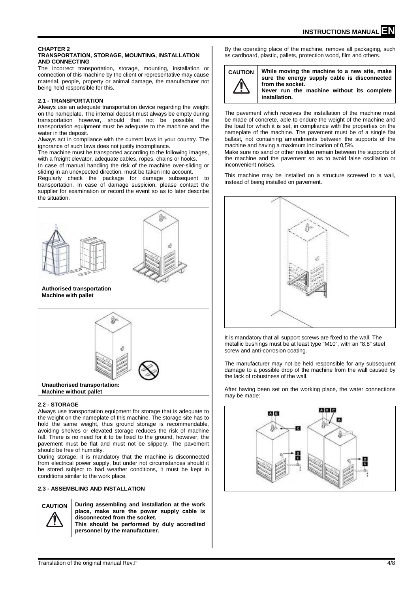#### <span id="page-3-1"></span><span id="page-3-0"></span>**CHAPTER 2 TRANSPORTATION, STORAGE, MOUNTING, INSTALLATION AND CONNECTING**

The incorrect transportation, storage, mounting, installation or connection of this machine by the client or representative may cause material, people, property or animal damage, the manufacturer not being held responsible for this.

## <span id="page-3-2"></span>**2.1 - TRANSPORTATION**

Always use an adequate transportation device regarding the weight on the nameplate. The internal deposit must always be empty during transportation however, should that not be possible, the transportation equipment must be adequate to the machine and the water in the deposit.

Always act in compliance with the current laws in your country. The ignorance of such laws does not justify incompliance.

The machine must be transported according to the following images, with a freight elevator, adequate cables, ropes, chains or hooks.

In case of manual handling the risk of the machine over-sliding or sliding in an unexpected direction, must be taken into account.

Regularly check the package for damage subsequent to transportation. In case of damage suspicion, please contact the supplier for examination or record the event so as to later describe the situation.



**Machine with pallet**



## <span id="page-3-3"></span>**2.2 - STORAGE**

Always use transportation equipment for storage that is adequate to the weight on the nameplate of this machine. The storage site has to hold the same weight, thus ground storage is recommendable, avoiding shelves or elevated storage reduces the risk of machine fall. There is no need for it to be fixed to the ground, however, the pavement must be flat and must not be slippery. The pavement should be free of humidity.

During storage, it is mandatory that the machine is disconnected from electrical power supply, but under not circumstances should it be stored subject to bad weather conditions, it must be kept in conditions similar to the work place.

## <span id="page-3-4"></span>**2.3 - ASSEMBLING AND INSTALLATION**

**CAUTION During assembling and installation at the work place, make sure the power supply cable is disconnected from the socket. This should be performed by duly accredited personnel by the manufacturer.**

By the operating place of the machine, remove all packaging, such as cardboard, plastic, pallets, protection wood, film and others.



**CAUTION While moving the machine to a new site, make sure the energy supply cable is disconnected from the socket. Never run the machine without its complete installation.** 

The pavement which receives the installation of the machine must be made of concrete, able to endure the weight of the machine and the load for which it is set, in compliance with the properties on the nameplate of the machine. The pavement must be of a single flat ballast, not containing amendments between the supports of the machine and having a maximum inclination of 0,5%.

Make sure no sand or other residue remain between the supports of the machine and the pavement so as to avoid false oscillation or inconvenient noises.

This machine may be installed on a structure screwed to a wall, instead of being installed on pavement.



It is mandatory that all support screws are fixed to the wall. The metallic bushings must be at least type "M10", with an "8.8" steel screw and anti-corrosion coating.

The manufacturer may not be held responsible for any subsequent damage to a possible drop of the machine from the wall caused by the lack of robustness of the wall.

After having been set on the working place, the water connections may be made:

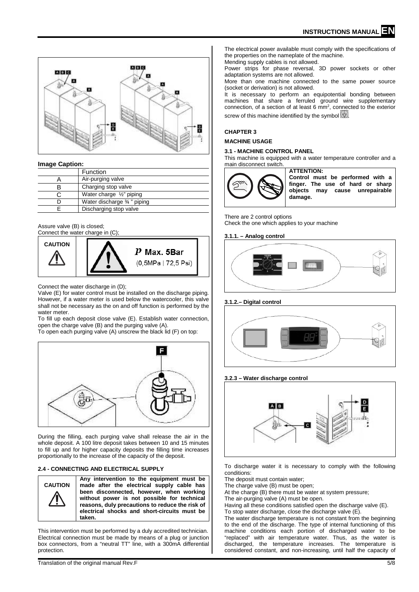

#### **Image Caption:**

| Function                   |  |
|----------------------------|--|
| Air-purging valve          |  |
| Charging stop valve        |  |
| Water charge 1/2" piping   |  |
| Water discharge 34" piping |  |
| Discharging stop valve     |  |

#### Assure valve (B) is closed; Connect the water charge in (C);



Connect the water discharge in (D);

Valve (E) for water control must be installed on the discharge piping. However, if a water meter is used below the watercooler, this valve shall not be necessary as the on and off function is performed by the water meter.

To fill up each deposit close valve (E). Establish water connection, open the charge valve (B) and the purging valve (A). To open each purging valve (A) unscrew the black lid (F) on top:



During the filling, each purging valve shall release the air in the whole deposit. A 100 litre deposit takes between 10 and 15 minutes to fill up and for higher capacity deposits the filling time increases proportionally to the increase of the capacity of the deposit.

## <span id="page-4-0"></span>**2.4 - CONNECTING AND ELECTRICAL SUPPLY**



**Any intervention to the equipment must be made after the electrical supply cable has been disconnected, however, when working without power is not possible for technical reasons, duly precautions to reduce the risk of electrical shocks and short-circuits must be taken.**

This intervention must be performed by a duly accredited technician. Electrical connection must be made by means of a plug or junction box connectors, from a "neutral TT" line, with a 300mA differential protection.

The electrical power available must comply with the specifications of the properties on the nameplate of the machine.

Mending supply cables is not allowed.

Power strips for phase reversal, 3D power sockets or other adaptation systems are not allowed.

More than one machine connected to the same power source (socket or derivation) is not allowed.

It is necessary to perform an equipotential bonding between machines that share a ferruled ground wire supplementary connection, of a section of at least 6  $mm<sup>2</sup>$ , connected to the exterior screw of this machine identified by the symbol  $\Diamond$ .

#### <span id="page-4-1"></span>**CHAPTER 3**

#### <span id="page-4-2"></span>**MACHINE USAGE**

#### <span id="page-4-3"></span>**3.1 - MACHINE CONTROL PANEL**

This machine is equipped with a water temperature controller and a main disconnect switch.



**ATTENTION: Control must be performed with a finger. The use of hard or sharp objects may cause unrepairable damage.**

There are 2 control options Check the one which applies to your machine

## <span id="page-4-4"></span>**3.1.1. – Analog control**



## <span id="page-4-5"></span>**3.1.2.– Digital control**



## <span id="page-4-6"></span>**3.2.3 – Water discharge control**



To discharge water it is necessary to comply with the following conditions:

The deposit must contain water;

The charge valve (B) must be open:

At the charge (B) there must be water at system pressure;

The air-purging valve (A) must be open.

Having all these conditions satisfied open the discharge valve (E). To stop water discharge, close the discharge valve (E).

The water discharge temperature is not constant from the beginning to the end of the discharge. The type of internal functioning of this machine conditions each portion of discharged water to be "replaced" with air temperature water. Thus, as the water is discharged, the temperature increases. The temperature is considered constant, and non-increasing, until half the capacity of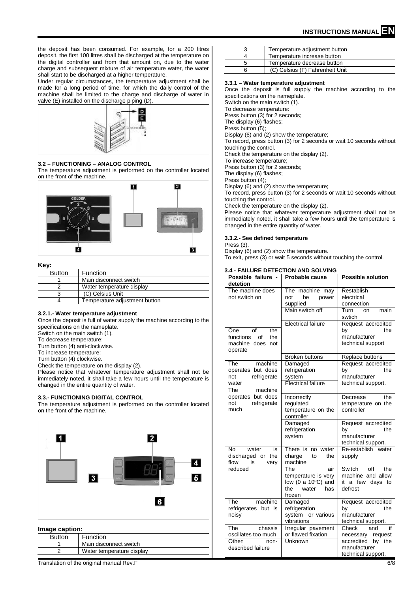the deposit has been consumed. For example, for a 200 litres deposit, the first 100 litres shall be discharged at the temperature on the digital controller and from that amount on, due to the water charge and subsequent mixture of air temperature water, the water shall start to be discharged at a higher temperature.

Under regular circumstances, the temperature adjustment shall be made for a long period of time, for which the daily control of the machine shall be limited to the charge and discharge of water in valve (E) installed on the discharge piping (D).



## <span id="page-5-0"></span>**3.2 – FUNCTIONING – ANALOG CONTROL**

The temperature adjustment is performed on the controller located on the front of the machine.



#### **Key:**

| Function                      |
|-------------------------------|
| Main disconnect switch        |
| Water temperature display     |
| (C) Celsius Unit              |
| Temperature adjustment button |
|                               |

## <span id="page-5-1"></span>**3.2.1.- Water temperature adjustment**

Once the deposit is full of water supply the machine according to the specifications on the nameplate.

Switch on the main switch (1).

To decrease temperature:

Turn button (4) anti-clockwise.

To increase temperature:

Turn button (4) clockwise.

Check the temperature on the display (2).

Please notice that whatever temperature adjustment shall not be immediately noted, it shall take a few hours until the temperature is changed in the entire quantity of water.

## <span id="page-5-2"></span>**3.3.- FUNCTIONING DIGITAL CONTROL**

The temperature adjustment is performed on the controller located on the front of the machine.



## **Image caption:**

| <b>Button</b> | Function                  |
|---------------|---------------------------|
|               | Main disconnect switch    |
|               | Water temperature display |

3 Temperature adjustment button<br>4 Temperature increase button 4 Temperature increase button<br>5 Temperature decrease button 5 Temperature decrease button<br>6 (C) Celsius (F) Fahrenheit Un 6 (C) Celsius (F) Fahrenheit Unit

#### <span id="page-5-3"></span>**3.3.1 – Water temperature adjustment**

Once the deposit is full supply the machine according to the specifications on the nameplate.

Switch on the main switch (1).

To decrease temperature:

Press button (3) for 2 seconds; The display (6) flashes;

Press button (5);

Display (6) and (2) show the temperature;

To record, press button (3) for 2 seconds or wait 10 seconds without touching the control.

Check the temperature on the display (2).

To increase temperature;

Press button (3) for 2 seconds;

The display (6) flashes;

Press button (4);

Display (6) and (2) show the temperature;

To record, press button (3) for 2 seconds or wait 10 seconds without touching the control.

Check the temperature on the display (2).

Please notice that whatever temperature adjustment shall not be immediately noted, it shall take a few hours until the temperature is changed in the entire quantity of water.

## <span id="page-5-4"></span>**3.3.2.- See defined temperature**

Press (3).

Display (6) and (2) show the temperature. To exit, press (3) or wait 5 seconds without touching the control.

## <span id="page-5-5"></span>**3.4 - FAILURE DETECTION AND SOLVING**

| Possible failure -<br>detetion                                                       | Probable cause                                                                           | <b>Possible solution</b>                                                                                    |
|--------------------------------------------------------------------------------------|------------------------------------------------------------------------------------------|-------------------------------------------------------------------------------------------------------------|
| The machine does<br>not switch on                                                    | The machine may<br>not<br>be<br>power<br>supplied                                        | Restablish<br>electrical<br>connection                                                                      |
|                                                                                      | Main switch off                                                                          | Turn<br>main<br>on<br>swtich                                                                                |
| One<br>οf<br>the<br>functions<br>of<br>the<br>machine does<br>not<br>operate         | <b>Electrical failure</b>                                                                | Request accredited<br>the<br>by<br>manufacturer<br>technical support                                        |
|                                                                                      | <b>Broken buttons</b>                                                                    | Replace buttons                                                                                             |
| The<br>machine<br>operates but does<br>not<br>refrigerate<br>water<br>machine<br>The | Damaged<br>refrigeration<br>system<br><b>Electrical failure</b>                          | Request accredited<br>the<br>by<br>manufacturer<br>technical support.                                       |
| operates but does<br>refrigerate<br>not<br>much                                      | Incorrectly<br>regulated<br>temperature on the<br>controller                             | the<br>Decrease<br>temperature on the<br>controller                                                         |
|                                                                                      | Damaged<br>refrigeration<br>system                                                       | Request accredited<br>the<br>by<br>manufacturer<br>technical support.                                       |
| No.<br>water<br>is<br>discharged or<br>the<br>flow<br>is<br>very                     | There is no water<br>charge<br>the<br>to<br>machine                                      | Re-establish<br>water<br>supply                                                                             |
| reduced                                                                              | The<br>air<br>temperature is very<br>low (0 a 10°C) and<br>the<br>water<br>has<br>frozen | Switch<br>off<br>the<br>machine and allow<br>a few days<br>it<br>to<br>defrost                              |
| The<br>machine<br>refrigerates but is<br>noisy                                       | Damaged<br>refrigeration<br>system or various<br>vibrations                              | Request accredited<br>the<br>by<br>manufacturer<br>technical support.                                       |
| The<br>chassis<br>oscillates too much<br>Othen<br>non-<br>described failure          | Irregular pavement<br>or flawed fixation<br>Unknown                                      | Check<br>if<br>and<br>request<br>necessary<br>accredited<br>the<br>by<br>manufacturer<br>technical support. |

Translation of the original manual Rev.F 6/8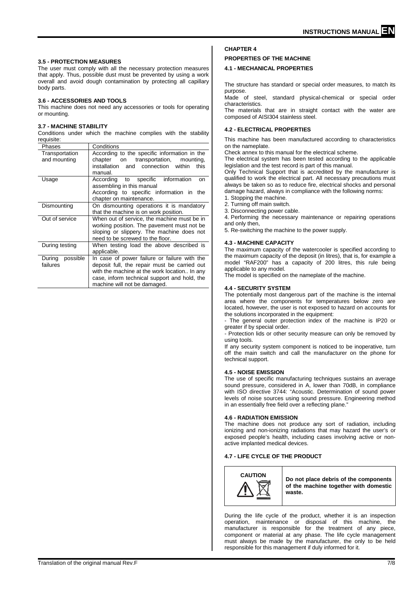#### <span id="page-6-0"></span>**3.5 - PROTECTION MEASURES**

The user must comply with all the necessary protection measures that apply. Thus, possible dust must be prevented by using a work overall and avoid dough contamination by protecting all capillary body parts.

#### <span id="page-6-1"></span>**3.6 - ACCESSORIES AND TOOLS**

This machine does not need any accessories or tools for operating or mounting.

#### <span id="page-6-2"></span>**3.7 - MACHINE STABILITY**

Conditions under which the machine complies with the stability requisite:

| Phases                         | Conditions                                                                                                                                                                                                                   |
|--------------------------------|------------------------------------------------------------------------------------------------------------------------------------------------------------------------------------------------------------------------------|
| Transportation<br>and mounting | According to the specific information in the<br>transportation,<br>chapter on<br>mounting,                                                                                                                                   |
|                                | and connection<br>within<br>installation<br>this<br>manual.                                                                                                                                                                  |
| Usage                          | According to specific information<br>on<br>assembling in this manual<br>According to specific information in the                                                                                                             |
|                                | chapter on maintenance.                                                                                                                                                                                                      |
| Dismounting                    | On dismounting operations it is mandatory<br>that the machine is on work position.                                                                                                                                           |
| Out of service                 | When out of service, the machine must be in<br>working position. The pavement must not be<br>sloping or slippery. The machine does not<br>need to be screwed to the floor.                                                   |
| During testing                 | When testing load the above described is<br>applicable.                                                                                                                                                                      |
| During<br>possible<br>failures | In case of power failure or failure with the<br>deposit full, the repair must be carried out<br>with the machine at the work location In any<br>case, inform technical support and hold, the<br>machine will not be damaged. |

# <span id="page-6-3"></span>**CHAPTER 4**

# <span id="page-6-4"></span>**PROPERTIES OF THE MACHINE**

## <span id="page-6-5"></span>**4.1 - MECHANICAL PROPERTIES**

The structure has standard or special order measures, to match its purpose.

Made of steel, standard physical-chemical or special order characteristics.

The materials that are in straight contact with the water are composed of AISI304 stainless steel.

#### <span id="page-6-6"></span>**4.2 - ELECTRICAL PROPERTIES**

This machine has been manufactured according to characteristics on the nameplate.

Check annex to this manual for the electrical scheme.

The electrical system has been tested according to the applicable legislation and the test record is part of this manual.

Only Technical Support that is accredited by the manufacturer is qualified to work the electrical part. All necessary precautions must always be taken so as to reduce fire, electrical shocks and personal damage hazard, always in compliance with the following norms:

1. Stopping the machine.

2. Turning off main switch.

3. Disconnecting power cable.

4. Performing the necessary maintenance or repairing operations and only then,

5. Re-switching the machine to the power supply.

#### <span id="page-6-7"></span>**4.3 - MACHINE CAPACITY**

The maximum capacity of the watercooler is specified according to the maximum capacity of the deposit (in litres), that is, for example a model "RAF200" has a capacity of 200 litres, this rule being applicable to any model.

The model is specified on the nameplate of the machine.

#### <span id="page-6-8"></span>**4.4 - SECURITY SYSTEM**

The potentially most dangerous part of the machine is the internal area where the components for temperatures below zero are located, however, the user is not exposed to hazard on accounts for the solutions incorporated in the equipment:

- The general outer protection index of the machine is IP20 or greater if by special order.

- Protection lids or other security measure can only be removed by using tools.

If any security system component is noticed to be inoperative, turn off the main switch and call the manufacturer on the phone for technical support.

#### <span id="page-6-9"></span>**4.5 - NOISE EMISSION**

The use of specific manufacturing techniques sustains an average sound pressure, considered in A, lower than 70dB, in compliance with ISO directive 3744: "Acoustic. Determination of sound power levels of noise sources using sound pressure. Engineering method in an essentially free field over a reflecting plane."

#### <span id="page-6-10"></span>**4.6 - RADIATION EMISSION**

The machine does not produce any sort of radiation, including ionizing and non-ionizing radiations that may hazard the user's or exposed people's health, including cases involving active or nonactive implanted medical devices.

## <span id="page-6-11"></span>**4.7 - LIFE CYCLE OF THE PRODUCT**

![](_page_6_Picture_37.jpeg)

**CAUTION Do not place debris of the components of the machine together with domestic waste.**

During the life cycle of the product, whether it is an inspection operation, maintenance or disposal of this machine, the manufacturer is responsible for the treatment of any piece, component or material at any phase. The life cycle management must always be made by the manufacturer, the only to be held responsible for this management if duly informed for it.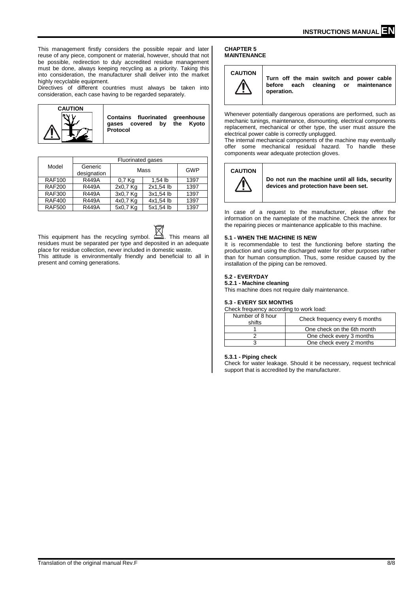This management firstly considers the possible repair and later reuse of any piece, component or material, however, should that not be possible, redirection to duly accredited residue management must be done, always keeping recycling as a priority. Taking this into consideration, the manufacturer shall deliver into the market highly recyclable equipment.

Directives of different countries must always be taken into consideration, each case having to be regarded separately.

![](_page_7_Figure_3.jpeg)

|               | <b>Fluorinated gases</b> |          |           |      |
|---------------|--------------------------|----------|-----------|------|
| Model         | Generic<br>designation   |          | Mass      | GWP  |
| <b>RAF100</b> | <b>R449A</b>             | $0.7$ Kg | $1.54$ lb | 1397 |
| <b>RAF200</b> | R449A                    | 2x0,7 Kg | 2x1.54 lb | 1397 |
| <b>RAF300</b> | <b>R449A</b>             | 3x0,7 Kg | 3x1,54 lb | 1397 |
| <b>RAF400</b> | <b>R449A</b>             | 4x0,7 Kg | 4x1,54 lb | 1397 |
| <b>RAF500</b> | <b>R449A</b>             | 5x0,7 Kg | 5x1,54 lb | 1397 |

This equipment has the recycling symbol.  $\frac{A - A}{A}$ . This means all residues must be separated per type and deposited in an adequate place for residue collection, never included in domestic waste. This attitude is environmentally friendly and beneficial to all in present and coming generations.

#### <span id="page-7-1"></span><span id="page-7-0"></span>**CHAPTER 5 MAINTENANCE**

![](_page_7_Picture_7.jpeg)

**Turn off the main switch and power cable before** each cleaning or **operation.**

Whenever potentially dangerous operations are performed, such as mechanic tunings, maintenance, dismounting, electrical components replacement, mechanical or other type, the user must assure the electrical power cable is correctly unplugged.

The internal mechanical components of the machine may eventually offer some mechanical residual hazard. To handle these components wear adequate protection gloves.

![](_page_7_Picture_11.jpeg)

**Do not run the machine until all lids, security devices and protection have been set.** 

In case of a request to the manufacturer, please offer the information on the nameplate of the machine. Check the annex for the repairing pieces or maintenance applicable to this machine.

## <span id="page-7-2"></span>**5.1 - WHEN THE MACHINE IS NEW**

It is recommendable to test the functioning before starting the production and using the discharged water for other purposes rather than for human consumption. Thus, some residue caused by the installation of the piping can be removed.

## <span id="page-7-3"></span>**5.2 - EVERYDAY**

<span id="page-7-4"></span>**5.2.1 - Machine cleaning**

This machine does not require daily maintenance.

#### <span id="page-7-5"></span>**5.3 - EVERY SIX MONTHS**

Check frequency according to work load:

| Number of 8 hour<br>shifts | Check frequency every 6 months |
|----------------------------|--------------------------------|
|                            | One check on the 6th month     |
|                            | One check every 3 months       |
|                            | One check every 2 months       |

#### <span id="page-7-6"></span>**5.3.1 - Piping check**

Check for water leakage. Should it be necessary, request technical support that is accredited by the manufacturer.